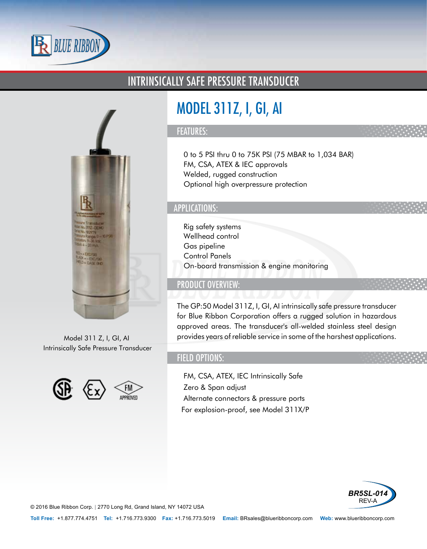

### INTRINSICALLY SAFE PRESSURE TRANSDUCER



Model 311 Z, I, GI, AI Intrinsically Safe Pressure Transducer



# MODEL 311Z, I, GI, AI

#### FEATURES:

- 0 to 5 PSI thru 0 to 75K PSI (75 MBAR to 1,034 BAR)
- FM, CSA, ATEX & IEC approvals
- Welded, rugged construction
- Optional high overpressure protection

#### APPLICATIONS:

- Rig safety systems
- Wellhead control
- Gas pipeline
- Control Panels
- On-board transmission & engine monitoring

#### PRODUCT OVERVIEW:

The GP:50 Model 311Z, I, GI, AI intrinsically safe pressure transducer for Blue Ribbon Corporation offers a rugged solution in hazardous approved areas. The transducer's all-welded stainless steel design provides years of reliable service in some of the harshest applications.

#### FIELD OPTIONS:

- FM, CSA, ATEX, IEC Intrinsically Safe
- Zero & Span adjust
- Alternate connectors & pressure ports
- •For explosion-proof, see Model 311X/P



© 2016 Blue Ribbon Corp. *<sup>|</sup>* 2770 Long Rd, Grand Island, NY 14072 USA

**Toll Free:** +1.877.774.4751 **Tel:** +1.716.773.9300 **Fax:** +1.716.773.5019 **Email:** BRsales@blueribboncorp.com **Web:** www.blueribboncorp.com